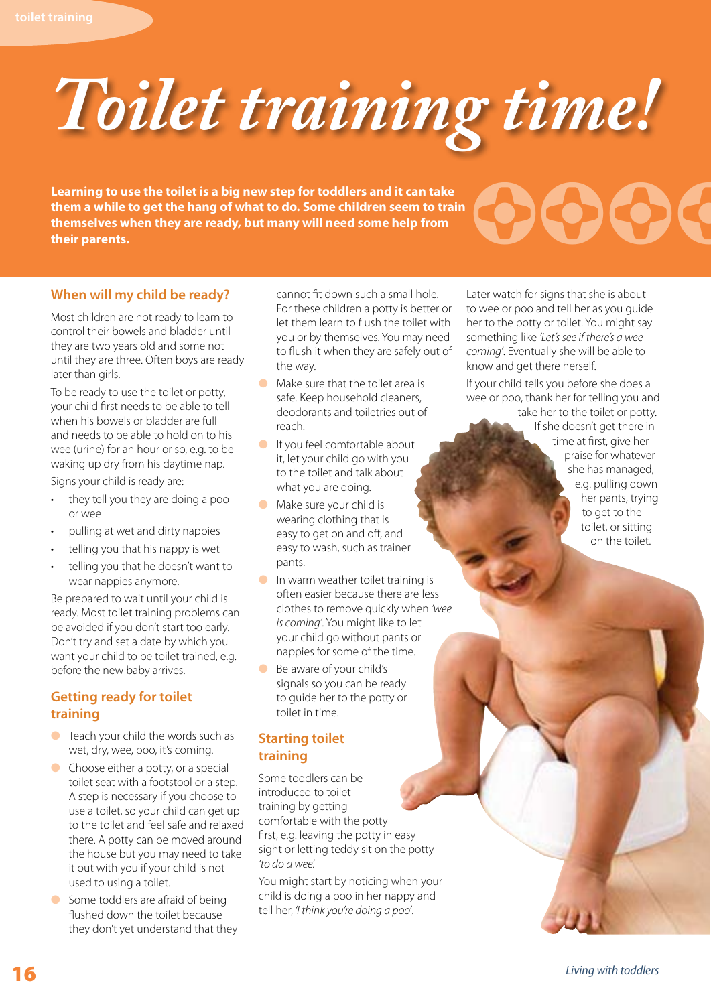

**Learning to use the toilet is a big new step for toddlers and it can take them a while to get the hang of what to do. Some children seem to train themselves when they are ready, but many will need some help from**  Learning to use the toilet is a big new step for toddlers and it can take<br>them a while to get the hang of what to do. Some children seem to train<br>themselves when they are ready, but many will need some help from<br>their pare

# Later watch for signs that she is about to wee or poo and tell her as you guide her to the potty or toilet. You might say

*coming'*. Eventually she will be able to know and get there herself. If your child tells you before she does a

something like *'Let's see if there's a wee* 

wee or poo, thank her for telling you and take her to the toilet or potty.

If she doesn't get there in time at first, give her praise for whatever she has managed, e.g. pulling down her pants, trying to get to the toilet, or sitting on the toilet.

#### **When will my child be ready?**

Most children are not ready to learn to control their bowels and bladder until they are two years old and some not until they are three. Often boys are ready later than girls.

To be ready to use the toilet or potty, your child first needs to be able to tell when his bowels or bladder are full and needs to be able to hold on to his wee (urine) for an hour or so, e.g. to be waking up dry from his daytime nap. Signs your child is ready are:

- they tell you they are doing a poo or wee
- pulling at wet and dirty nappies
- telling you that his nappy is wet
- telling you that he doesn't want to wear nappies anymore.

Be prepared to wait until your child is ready. Most toilet training problems can be avoided if you don't start too early. Don't try and set a date by which you want your child to be toilet trained, e.g. before the new baby arrives.

#### **Getting ready for toilet training**

- $\bullet$  Teach your child the words such as wet, dry, wee, poo, it's coming.
- $\bullet$  Choose either a potty, or a special toilet seat with a footstool or a step. A step is necessary if you choose to use a toilet, so your child can get up to the toilet and feel safe and relaxed there. A potty can be moved around the house but you may need to take it out with you if your child is not used to using a toilet.
- **C** Some toddlers are afraid of being flushed down the toilet because they don't yet understand that they

cannot fit down such a small hole. For these children a potty is better or let them learn to flush the toilet with you or by themselves. You may need to flush it when they are safely out of the way.

- $\bullet$  Make sure that the toilet area is safe. Keep household cleaners, deodorants and toiletries out of reach.
- $\bullet$  If you feel comfortable about it, let your child go with you to the toilet and talk about what you are doing.
- $\bullet$  Make sure your child is wearing clothing that is easy to get on and off, and easy to wash, such as trainer pants.
- $\bullet$  In warm weather toilet training is often easier because there are less clothes to remove quickly when *'wee is coming'*. You might like to let your child go without pants or nappies for some of the time.
- **Be aware of your child's** signals so you can be ready to guide her to the potty or toilet in time.

#### **Starting toilet training**

Some toddlers can be introduced to toilet training by getting comfortable with the potty first, e.g. leaving the potty in easy sight or letting teddy sit on the potty *'to do a wee'.*

You might start by noticing when your child is doing a poo in her nappy and tell her, *'I think you're doing a poo'*.